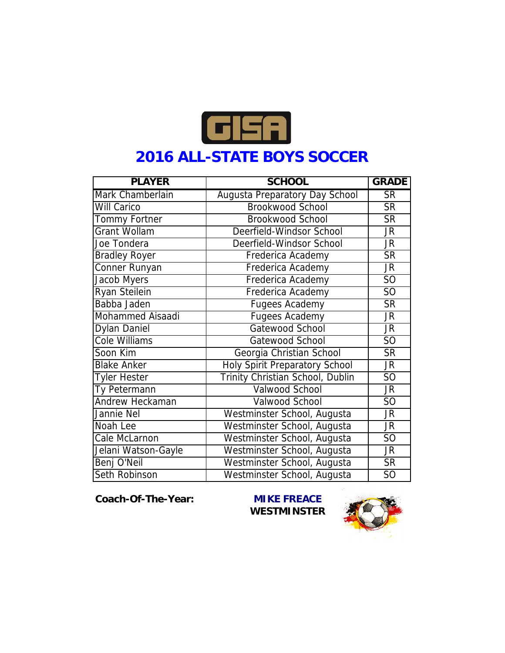

## **2016 ALL-STATE BOYS SOCCER**

| <b>PLAYER</b>        | <b>SCHOOL</b>                    | <b>GRADE</b>           |
|----------------------|----------------------------------|------------------------|
| Mark Chamberlain     | Augusta Preparatory Day School   | $\overline{\text{SR}}$ |
| Will Carico          | <b>Brookwood School</b>          | <b>SR</b>              |
| Tommy Fortner        | <b>Brookwood School</b>          | <b>SR</b>              |
| <b>Grant Wollam</b>  | Deerfield-Windsor School         | JR.                    |
| Joe Tondera          | Deerfield-Windsor School         | JR                     |
| <b>Bradley Royer</b> | Frederica Academy                | <b>SR</b>              |
| Conner Runyan        | Frederica Academy                | JR                     |
| Jacob Myers          | Frederica Academy                | SO                     |
| Ryan Steilein        | Frederica Academy                | SO                     |
| Babba Jaden          | <b>Fugees Academy</b>            | <b>SR</b>              |
| Mohammed Aisaadi     | <b>Fugees Academy</b>            | JR.                    |
| Dylan Daniel         | Gatewood School                  | JR.                    |
| <b>Cole Williams</b> | Gatewood School                  | SO                     |
| Soon Kim             | Georgia Christian School         | <b>SR</b>              |
| <b>Blake Anker</b>   | Holy Spirit Preparatory School   | JR.                    |
| Tyler Hester         | Trinity Christian School, Dublin | SO                     |
| Ty Petermann         | Valwood School                   | <b>JR</b>              |
| Andrew Heckaman      | Valwood School                   | SO                     |
| Jannie Nel           | Westminster School, Augusta      | <b>JR</b>              |
| Noah Lee             | Westminster School, Augusta      | JR.                    |
| Cale McLarnon        | Westminster School, Augusta      | $\overline{SO}$        |
| Jelani Watson-Gayle  | Westminster School, Augusta      | JR.                    |
| Benj O'Neil          | Westminster School, Augusta      | $\overline{\text{SR}}$ |
| Seth Robinson        | Westminster School, Augusta      | SO                     |

**Coach-Of-The-Year: MIKE FREACE**

**WESTMINSTER**

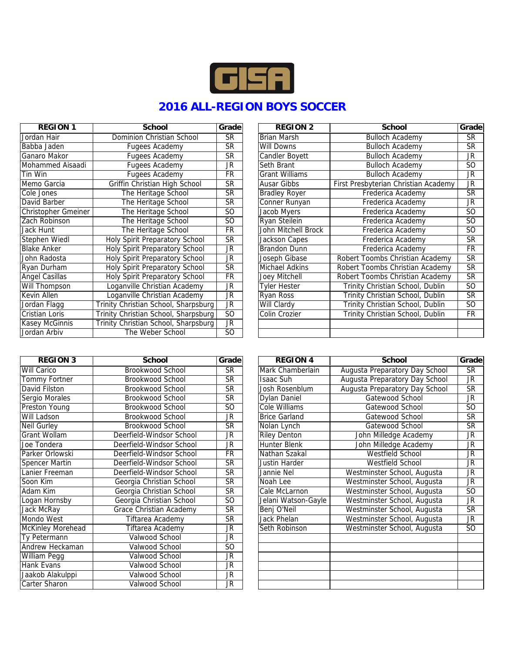

## **2016 ALL-REGION BOYS SOCCER**

| <b>REGION 1</b>     | School                               | Grade     | <b>REGION 2</b>       | School                               | Grade                  |
|---------------------|--------------------------------------|-----------|-----------------------|--------------------------------------|------------------------|
| Jordan Hair         | Dominion Christian School            | SR        | <b>Brian Marsh</b>    | <b>Bulloch Academy</b>               | $\overline{\text{SR}}$ |
| Babba Jaden         | Fugees Academy                       | <b>SR</b> | Will Downs            | <b>Bulloch Academy</b>               | <b>SR</b>              |
| Ganaro Makor        | Fugees Academy                       | <b>SR</b> | Candler Boyett        | <b>Bulloch Academy</b>               | JR                     |
| Mohammed Aisaadi    | Fugees Academy                       | <b>JR</b> | Seth Brant            | <b>Bulloch Academy</b>               | SO                     |
| Tin Win             | Fugees Academy                       | <b>FR</b> | <b>Grant Williams</b> | <b>Bulloch Academy</b>               | JR                     |
| Memo Garcia         | Griffin Christian High School        | <b>SR</b> | Ausar Gibbs           | First Presbyterian Christian Academy | JR                     |
| Cole Jones          | The Heritage School                  | <b>SR</b> | <b>Bradley Royer</b>  | Frederica Academy                    | <b>SR</b>              |
| David Barber        | The Heritage School                  | <b>SR</b> | Conner Runyan         | Frederica Academy                    | JR                     |
| Christopher Gmeiner | The Heritage School                  | SO.       | Jacob Myers           | Frederica Academy                    | SO.                    |
| Zach Robinson       | The Heritage School                  | SO        | Ryan Steilein         | Frederica Academy                    | SO.                    |
| Jack Hunt           | The Heritage School                  | <b>FR</b> | John Mitchell Brock   | Frederica Academy                    | SO                     |
| Stephen Wiedl       | Holy Spirit Preparatory School       | <b>SR</b> | Jackson Capes         | Frederica Academy                    | <b>SR</b>              |
| <b>Blake Anker</b>  | Holy Spirit Preparatory School       | JR.       | Brandon Dunn          | Frederica Academy                    | <b>FR</b>              |
| John Radosta        | Holy Spirit Preparatory School       | JR.       | Joseph Gibase         | Robert Toombs Christian Academy      | <b>SR</b>              |
| Ryan Durham         | Holy Spirit Preparatory School       | <b>SR</b> | Michael Adkins        | Robert Toombs Christian Academy      | <b>SR</b>              |
| Angel Casillas      | Holy Spirit Preparatory School       | <b>FR</b> | Joey Mitchell         | Robert Toombs Christian Academy      | <b>SR</b>              |
| Will Thompson       | Loganville Christian Academy         | JR        | Tyler Hester          | Trinity Christian School, Dublin     | SO.                    |
| Kevin Allen         | Loganville Christian Academy         | <b>JR</b> | Ryan Ross             | Trinity Christian School, Dublin     | <b>SR</b>              |
| Jordan Flagg        | Trinity Christian School, Sharpsburg | JR.       | Will Clardy           | Trinity Christian School, Dublin     | SO                     |
| Cristian Loris      | Trinity Christian School, Sharpsburg | SO        | Colin Crozier         | Trinity Christian School, Dublin     | <b>FR</b>              |
| Kasey McGinnis      | Trinity Christian School, Sharpsburg | JR        |                       |                                      |                        |
| Jordan Arbiv        | The Weber School                     | SO.       |                       |                                      |                        |

| REGION 3             | School                   | Grade     |              |
|----------------------|--------------------------|-----------|--------------|
| <b>Will Carico</b>   | Brookwood School         | <b>SR</b> | Marl         |
| <b>Tommy Fortner</b> | Brookwood School         | <b>SR</b> | Isaa         |
| David Filston        | Brookwood School         | <b>SR</b> | Josh         |
| Sergio Morales       | Brookwood School         | <b>SR</b> | Dyla         |
| <b>Preston Young</b> | Brookwood School         | <b>SO</b> | Cole         |
| Will Ladson          | Brookwood School         | JR.       | <b>Brice</b> |
| Neil Gurley          | Brookwood School         | <b>SR</b> | Nola         |
| Grant Wollam         | Deerfield-Windsor School | JR.       | <b>Riley</b> |
| Joe Tondera          | Deerfield-Windsor School | JR        | <b>Hun</b>   |
| Parker Orlowski      | Deerfield-Windsor School | <b>FR</b> | Nath         |
| Spencer Martin       | Deerfield-Windsor School | SR.       | Just         |
| Lanier Freeman       | Deerfield-Windsor School | <b>SR</b> | Janr         |
| Soon Kim             | Georgia Christian School | <b>SR</b> | Noal         |
| Adam Kim             | Georgia Christian School | SR.       | Cale         |
| Logan Hornsby        | Georgia Christian School | 50        | Jelar        |
| Jack McRay           | Grace Christian Academy  | <b>SR</b> | Benj         |
| Mondo West           | Tiftarea Academy         | <b>SR</b> | Jack         |
| McKinley Morehead    | Tiftarea Academy         | JR.       | Seth         |
| Ty Petermann         | Valwood School           | <b>JR</b> |              |
| Andrew Heckaman      | Valwood School           | SO.       |              |
| William Pegg         | Valwood School           | JR        |              |
| Hank Evans           | Valwood School           | JR.       |              |
| Jaakob Alakulppi     | Valwood School           | JR        |              |
| Carter Sharon        | Valwood School           | JR        |              |

| REGIUN I            | SCNOOI                                | Grade                   | REGIUN 2              | SCNOOI                               | Grade                  |
|---------------------|---------------------------------------|-------------------------|-----------------------|--------------------------------------|------------------------|
| Jordan Hair         | Dominion Christian School             | $\overline{\text{SR}}$  | <b>Brian Marsh</b>    | <b>Bulloch Academy</b>               | $\overline{\text{SR}}$ |
| Babba Jaden         | Fugees Academy                        | <b>SR</b>               | Will Downs            | <b>Bulloch Academy</b>               | <b>SR</b>              |
| Ganaro Makor        | Fugees Academy                        | <b>SR</b>               | Candler Boyett        | <b>Bulloch Academy</b>               | JR                     |
| Mohammed Aisaadi    | Fugees Academy                        | <b>JR</b>               | Seth Brant            | <b>Bulloch Academy</b>               | SO.                    |
| Tin Win             | Fugees Academy                        | <b>FR</b>               | <b>Grant Williams</b> | <b>Bulloch Academy</b>               | <b>JR</b>              |
| Memo Garcia         | Griffin Christian High School         | <b>SR</b>               | Ausar Gibbs           | First Presbyterian Christian Academy | JR                     |
| Cole Jones          | The Heritage School                   | <b>SR</b>               | <b>Bradley Royer</b>  | Frederica Academy                    | <b>SR</b>              |
| David Barber        | The Heritage School                   | <b>SR</b>               | Conner Runyan         | Frederica Academy                    | <b>JR</b>              |
| Christopher Gmeiner | The Heritage School                   | 50                      | Jacob Myers           | Frederica Academy                    | SO.                    |
| Zach Robinson       | The Heritage School                   | SO.                     | Ryan Steilein         | Frederica Academy                    | S <sub>O</sub>         |
| Jack Hunt           | The Heritage School                   | <b>FR</b>               | John Mitchell Brock   | Frederica Academy                    | SO.                    |
| Stephen Wiedl       | <b>Holy Spirit Preparatory School</b> | <b>SR</b>               | Jackson Capes         | Frederica Academy                    | <b>SR</b>              |
| <b>Blake Anker</b>  | <b>Holy Spirit Preparatory School</b> | <b>JR</b>               | Brandon Dunn          | Frederica Academy                    | <b>FR</b>              |
| John Radosta        | Holy Spirit Preparatory School        | <b>JR</b>               | Joseph Gibase         | Robert Toombs Christian Academy      | <b>SR</b>              |
| Ryan Durham         | <b>Holy Spirit Preparatory School</b> | $\overline{\text{SR}}$  | Michael Adkins        | Robert Toombs Christian Academy      | <b>SR</b>              |
| Angel Casillas      | Holy Spirit Preparatory School        | <b>FR</b>               | Joey Mitchell         | Robert Toombs Christian Academy      | <b>SR</b>              |
| Will Thompson       | Loganville Christian Academy          | JR                      | Tyler Hester          | Trinity Christian School, Dublin     | SO.                    |
| Kevin Allen         | Loganville Christian Academy          | $\overline{\mathbb{R}}$ | Ryan Ross             | Trinity Christian School, Dublin     | <b>SR</b>              |
| Jordan Flagg        | Trinity Christian School, Sharpsburg  | JR.                     | Will Clardy           | Trinity Christian School, Dublin     | SO                     |
| Cristian Loris      | Trinity Christian School, Sharpsburg  | SO.                     | Colin Crozier         | Trinity Christian School, Dublin     | <b>FR</b>              |
| Kasey McGinnis      | Trinity Christian School, Sharpsburg  | JR.                     |                       |                                      |                        |
| Jordan Arbiv        | The Weber School                      | SO                      |                       |                                      |                        |

| <b>REGION 3</b>       | School                   | Grade                    | <b>REGION 4</b>      | School                         | Grade          |
|-----------------------|--------------------------|--------------------------|----------------------|--------------------------------|----------------|
| <b>Will Carico</b>    | <b>Brookwood School</b>  | <b>SR</b>                | Mark Chamberlain     | Augusta Preparatory Day School | <b>SR</b>      |
| Tommy Fortner         | Brookwood School         | <b>SR</b>                | <b>Isaac Suh</b>     | Augusta Preparatory Day School | JR             |
| David Filston         | Brookwood School         | <b>SR</b>                | Josh Rosenblum       | Augusta Preparatory Day School | <b>SR</b>      |
| Sergio Morales        | Brookwood School         | $\overline{\text{SR}}$   | Dylan Daniel         | Gatewood School                | JR             |
| Preston Young         | Brookwood School         | 50                       | Cole Williams        | Gatewood School                | S <sub>O</sub> |
| <b>Will Ladson</b>    | Brookwood School         | <b>JR</b>                | <b>Brice Garland</b> | Gatewood School                | <b>SR</b>      |
| Neil Gurley           | Brookwood School         | <b>SR</b>                | Nolan Lynch          | Gatewood School                | <b>SR</b>      |
| Grant Wollam          | Deerfield-Windsor School | <b>JR</b>                | <b>Riley Denton</b>  | John Milledge Academy          | JR             |
| Joe Tondera           | Deerfield-Windsor School | <b>JR</b>                | <b>Hunter Blenk</b>  | John Milledge Academy          | JR             |
| Parker Orlowski       | Deerfield-Windsor School | $\overline{\mathsf{FR}}$ | Nathan Szakal        | <b>Westfield School</b>        | JR             |
| <b>Spencer Martin</b> | Deerfield-Windsor School | <b>SR</b>                | Justin Harder        | Westfield School               | JR             |
| Lanier Freeman        | Deerfield-Windsor School | <b>SR</b>                | Jannie Nel           | Westminster School, Augusta    | JR             |
| Soon Kim              | Georgia Christian School | $\overline{\text{SR}}$   | Noah Lee             | Westminster School, Augusta    | <b>JR</b>      |
| Adam Kim              | Georgia Christian School | $\overline{\text{SR}}$   | Cale McLarnon        | Westminster School, Augusta    | S <sub>O</sub> |
| Logan Hornsby         | Georgia Christian School | SO                       | Jelani Watson-Gayle  | Westminster School, Augusta    | JR             |
| Jack McRay            | Grace Christian Academy  | <b>SR</b>                | Benj O'Neil          | Westminster School, Augusta    | <b>SR</b>      |
| Mondo West            | Tiftarea Academy         | <b>SR</b>                | Jack Phelan          | Westminster School, Augusta    | JR             |
| McKinley Morehead     | Tiftarea Academy         | <b>JR</b>                | Seth Robinson        | Westminster School, Augusta    | S <sub>O</sub> |
| Ty Petermann          | Valwood School           | <b>JR</b>                |                      |                                |                |
| Andrew Heckaman       | Valwood School           | S <sub>O</sub>           |                      |                                |                |
| William Pegg          | Valwood School           | <b>JR</b>                |                      |                                |                |
| Hank Evans            | Valwood School           | <b>JR</b>                |                      |                                |                |
| Jaakob Alakulppi      | Valwood School           | JR                       |                      |                                |                |
| Carter Sharon         | Valwood School           | <b>JR</b>                |                      |                                |                |
|                       |                          |                          |                      |                                |                |